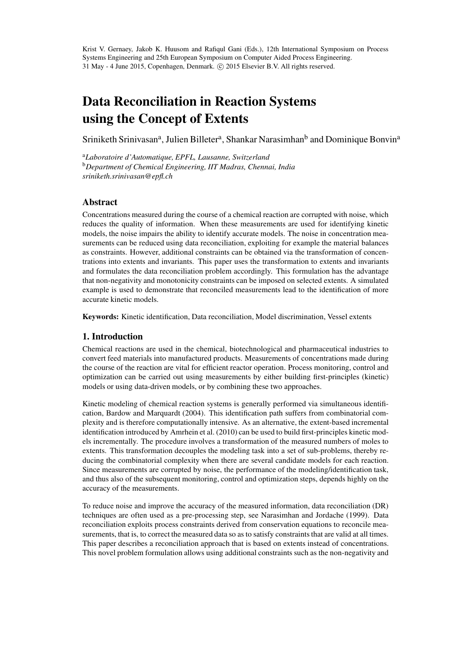Krist V. Gernaey, Jakob K. Huusom and Rafiqul Gani (Eds.), 12th International Symposium on Process Systems Engineering and 25th European Symposium on Computer Aided Process Engineering. 31 May - 4 June 2015, Copenhagen, Denmark. © 2015 Elsevier B.V. All rights reserved.

# Data Reconciliation in Reaction Systems using the Concept of Extents

Sriniketh Srinivasan<sup>a</sup>, Julien Billeter<sup>a</sup>, Shankar Narasimhan<sup>b</sup> and Dominique Bonvin<sup>a</sup>

<sup>a</sup>*Laboratoire d'Automatique, EPFL, Lausanne, Switzerland* <sup>b</sup>*Department of Chemical Engineering, IIT Madras, Chennai, India sriniketh.srinivasan@epfl.ch*

# Abstract

Concentrations measured during the course of a chemical reaction are corrupted with noise, which reduces the quality of information. When these measurements are used for identifying kinetic models, the noise impairs the ability to identify accurate models. The noise in concentration measurements can be reduced using data reconciliation, exploiting for example the material balances as constraints. However, additional constraints can be obtained via the transformation of concentrations into extents and invariants. This paper uses the transformation to extents and invariants and formulates the data reconciliation problem accordingly. This formulation has the advantage that non-negativity and monotonicity constraints can be imposed on selected extents. A simulated example is used to demonstrate that reconciled measurements lead to the identification of more accurate kinetic models.

Keywords: Kinetic identification, Data reconciliation, Model discrimination, Vessel extents

# 1. Introduction

Chemical reactions are used in the chemical, biotechnological and pharmaceutical industries to convert feed materials into manufactured products. Measurements of concentrations made during the course of the reaction are vital for efficient reactor operation. Process monitoring, control and optimization can be carried out using measurements by either building first-principles (kinetic) models or using data-driven models, or by combining these two approaches.

Kinetic modeling of chemical reaction systems is generally performed via simultaneous identification, Bardow and Marquardt (2004). This identification path suffers from combinatorial complexity and is therefore computationally intensive. As an alternative, the extent-based incremental identification introduced by Amrhein et al. (2010) can be used to build first-principles kinetic models incrementally. The procedure involves a transformation of the measured numbers of moles to extents. This transformation decouples the modeling task into a set of sub-problems, thereby reducing the combinatorial complexity when there are several candidate models for each reaction. Since measurements are corrupted by noise, the performance of the modeling/identification task, and thus also of the subsequent monitoring, control and optimization steps, depends highly on the accuracy of the measurements.

To reduce noise and improve the accuracy of the measured information, data reconciliation (DR) techniques are often used as a pre-processing step, see Narasimhan and Jordache (1999). Data reconciliation exploits process constraints derived from conservation equations to reconcile measurements, that is, to correct the measured data so as to satisfy constraints that are valid at all times. This paper describes a reconciliation approach that is based on extents instead of concentrations. This novel problem formulation allows using additional constraints such as the non-negativity and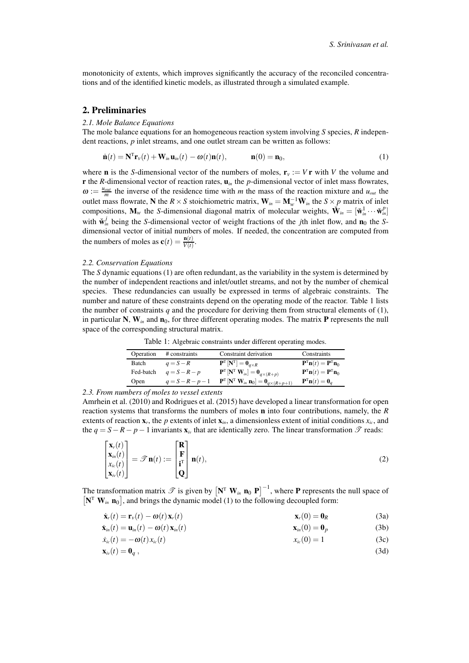monotonicity of extents, which improves significantly the accuracy of the reconciled concentrations and of the identified kinetic models, as illustrated through a simulated example.

## 2. Preliminaries

#### *2.1. Mole Balance Equations*

The mole balance equations for an homogeneous reaction system involving *S* species, *R* independent reactions, *p* inlet streams, and one outlet stream can be written as follows:

$$
\dot{\mathbf{n}}(t) = \mathbf{N}^{\mathrm{T}} \mathbf{r}_{v}(t) + \mathbf{W}_{in} \mathbf{u}_{in}(t) - \omega(t) \mathbf{n}(t), \qquad \mathbf{n}(0) = \mathbf{n}_{0}, \qquad (1)
$$

where **n** is the *S*-dimensional vector of the numbers of moles,  $\mathbf{r}_v := V \mathbf{r}$  with *V* the volume and **r** the *R*-dimensional vector of reaction rates,  $\mathbf{u}_{in}$  the *p*-dimensional vector of inlet mass flowrates,  $\omega := \frac{u_{out}}{m}$  the inverse of the residence time with *m* the mass of the reaction mixture and  $u_{out}$  the outlet mass flowrate, N the  $R \times S$  stoichiometric matrix,  $W_{in} = M_w^{-1} \tilde{W}_{in}$  the  $S \times p$  matrix of inlet compositions,  $\mathbf{M}_w$  the *S*-dimensional diagonal matrix of molecular weights,  $\mathbf{\hat{W}}_{in} = [\mathbf{\check{w}}_m^1 \cdots \mathbf{\check{w}}_m^p]$ with  $\dot{\mathbf{w}}_m^j$  being the *S*-dimensional vector of weight fractions of the *j*th inlet flow, and  $\mathbf{n}_0$  the *S*dimensional vector of initial numbers of moles. If needed, the concentration are computed from the numbers of moles as  $\mathbf{c}(t) = \frac{\mathbf{n}(t)}{V(t)}$ .

## *2.2. Conservation Equations*

The *S* dynamic equations (1) are often redundant, as the variability in the system is determined by the number of independent reactions and inlet/outlet streams, and not by the number of chemical species. These redundancies can usually be expressed in terms of algebraic constraints. The number and nature of these constraints depend on the operating mode of the reactor. Table 1 lists the number of constraints  $q$  and the procedure for deriving them from structural elements of  $(1)$ , in particular N,  $W_{in}$  and  $n_0$ , for three different operating modes. The matrix **P** represents the null space of the corresponding structural matrix.

Table 1: Algebraic constraints under different operating modes.

| Operation | # constraints       | Constraint derivation                                                                                                | Constraints                                                                |
|-----------|---------------------|----------------------------------------------------------------------------------------------------------------------|----------------------------------------------------------------------------|
| Batch     | $q = S - R$         | $\mathbf{P}^{\text{T}}\left[\mathbf{N}^{\text{T}}\right]=\mathbf{0}_{q\times R}$                                     | $\mathbf{P}^{\mathrm{T}}\mathbf{n}(t)=\mathbf{P}^{\mathrm{T}}\mathbf{n}_0$ |
| Fed-batch | $q = S - R - p$     | $\mathbf{P}^{\text{\tiny T}}\left[\mathbf{N}^{\text{\tiny T}}\ \mathbf{W}_{in}\right]=\mathbf{0}_{q\times(R+p)}$     | $\mathbf{P}^{\mathrm{T}}\mathbf{n}(t)=\mathbf{P}^{\mathrm{T}}\mathbf{n}_0$ |
| Open      | $q = S - R - p - 1$ | $\mathbf{P}^{\mathrm{T}}\left[\mathbf{N}^{\mathrm{T}}\mathbf{W}_{in}\mathbf{n}_0\right]=\mathbf{0}_{q\times(R+p+1)}$ | $\mathbf{P}^{\mathrm{T}}\mathbf{n}(t)=\mathbf{0}_{a}$                      |

*2.3. From numbers of moles to vessel extents*

Amrhein et al. (2010) and Rodrigues et al. (2015) have developed a linear transformation for open reaction systems that transforms the numbers of moles n into four contributions, namely, the *R* extents of reaction  $\mathbf{x}_r$ , the *p* extents of inlet  $\mathbf{x}_{in}$ , a dimensionless extent of initial conditions  $x_{ic}$ , and the  $q = S - R - p - 1$  invariants  $\mathbf{x}_{i\nu}$  that are identically zero. The linear transformation  $\mathcal{T}$  reads:

$$
\begin{bmatrix} \mathbf{x}_r(t) \\ \mathbf{x}_{in}(t) \\ x_{ic}(t) \\ \mathbf{x}_{iv}(t) \end{bmatrix} = \mathscr{T} \mathbf{n}(t) := \begin{bmatrix} \mathbf{R} \\ \mathbf{F} \\ \mathbf{i}^{\mathrm{T}} \\ \mathbf{Q} \end{bmatrix} \mathbf{n}(t), \tag{2}
$$

The transformation matrix  $\mathscr T$  is given by  $\left[\mathbf{N}^T\ \mathbf{W}_{in}\ \mathbf{n}_0\ \mathbf{P}\right]^{-1}$ , where **P** represents the null space of  $[N^T W_{in} n_0]$ , and brings the dynamic model (1) to the following decoupled form:

$$
\dot{\mathbf{x}}_r(t) = \mathbf{r}_v(t) - \boldsymbol{\omega}(t) \mathbf{x}_r(t) \tag{3a}
$$

$$
\dot{\mathbf{x}}_{in}(t) = \mathbf{u}_{in}(t) - \omega(t)\mathbf{x}_{in}(t) \qquad \qquad \mathbf{x}_{in}(0) = \mathbf{0}_p \tag{3b}
$$

$$
\dot{x}_{ic}(t) = -\omega(t)x_{ic}(t) \qquad x_{ic}(0) = 1 \qquad (3c)
$$

$$
\mathbf{x}_{iv}(t) = \mathbf{0}_q \,, \tag{3d}
$$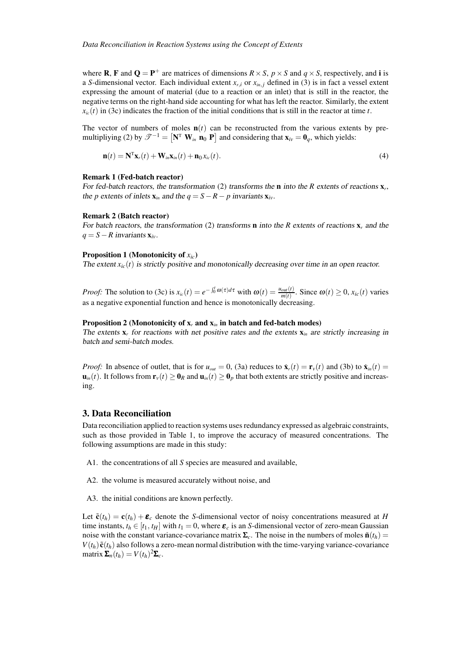where **R**, **F** and  $Q = P^+$  are matrices of dimensions  $R \times S$ ,  $p \times S$  and  $q \times S$ , respectively, and **i** is a *S*-dimensional vector. Each individual extent  $x_{r,i}$  or  $x_{in,j}$  defined in (3) is in fact a vessel extent expressing the amount of material (due to a reaction or an inlet) that is still in the reactor, the negative terms on the right-hand side accounting for what has left the reactor. Similarly, the extent  $x<sub>i</sub>(t)$  in (3c) indicates the fraction of the initial conditions that is still in the reactor at time *t*.

The vector of numbers of moles  $\mathbf{n}(t)$  can be reconstructed from the various extents by premultipliying (2) by  $\mathscr{T}^{-1} = [\mathbf{N}^T \ \mathbf{W}_{in} \ \mathbf{n}_0 \ \mathbf{P}]$  and considering that  $\mathbf{x}_{iv} = \mathbf{0}_q$ , which yields:

$$
\mathbf{n}(t) = \mathbf{N}^{\mathrm{T}} \mathbf{x}_r(t) + \mathbf{W}_{in} \mathbf{x}_{in}(t) + \mathbf{n}_0 x_{ic}(t).
$$
\n(4)

## Remark 1 (Fed-batch reactor)

For fed-batch reactors, the transformation (2) transforms the n into the *R* extents of reactions x*<sup>r</sup>* , the *p* extents of inlets  $\mathbf{x}_{in}$  and the  $q = S - R - p$  invariants  $\mathbf{x}_{iv}$ .

#### Remark 2 (Batch reactor)

For batch reactors, the transformation (2) transforms **n** into the *R* extents of reactions **x**, and the  $q = S - R$  invariants  $\mathbf{x}_{iv}$ .

## Proposition 1 (Monotonicity of *xic*)

The extent  $x_i(t)$  is strictly positive and monotonically decreasing over time in an open reactor.

*Proof:* The solution to (3c) is  $x_{ic}(t) = e^{-\int_0^t \omega(\tau)d\tau}$  with  $\omega(t) = \frac{u_{out}(t)}{m(t)}$ . Since  $\omega(t) \ge 0$ ,  $x_{ic}(t)$  varies as a negative exponential function and hence is monotonically decreasing.

## Proposition 2 (Monotonicity of  $x_r$  and  $x_{in}$  in batch and fed-batch modes)

The extents  $x_r$  for reactions with net positive rates and the extents  $x_{in}$  are strictly increasing in batch and semi-batch modes.

*Proof:* In absence of outlet, that is for  $u_{out} = 0$ , (3a) reduces to  $\dot{\mathbf{x}}_r(t) = \mathbf{r}_v(t)$  and (3b) to  $\dot{\mathbf{x}}_m(t) =$  $\mathbf{u}_{in}(t)$ . It follows from  $\mathbf{r}_v(t) \geq \mathbf{0}_R$  and  $\mathbf{u}_{in}(t) \geq \mathbf{0}_p$  that both extents are strictly positive and increasing.

## 3. Data Reconciliation

Data reconciliation applied to reaction systems uses redundancy expressed as algebraic constraints, such as those provided in Table 1, to improve the accuracy of measured concentrations. The following assumptions are made in this study:

- A1. the concentrations of all *S* species are measured and available,
- A2. the volume is measured accurately without noise, and
- A3. the initial conditions are known perfectly.

Let  $\tilde{\mathbf{c}}(t_h) = \mathbf{c}(t_h) + \mathbf{\varepsilon}_c$  denote the *S*-dimensional vector of noisy concentrations measured at *H* time instants,  $t_h \in [t_1, t_H]$  with  $t_1 = 0$ , where  $\epsilon_c$  is an *S*-dimensional vector of zero-mean Gaussian noise with the constant variance-covariance matrix  $\Sigma_c$ . The noise in the numbers of moles  $\tilde{\mathbf{n}}(t_h)$  =  $V(t_h)$  $\tilde{\mathbf{c}}(t_h)$  also follows a zero-mean normal distribution with the time-varying variance-covariance  $\text{matrix } \mathbf{\Sigma}_n(t_h) = V(t_h)^2 \mathbf{\Sigma}_c.$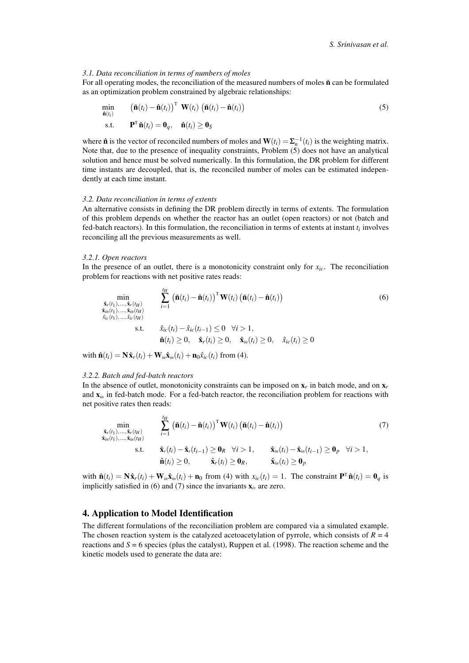## *3.1. Data reconciliation in terms of numbers of moles*

For all operating modes, the reconciliation of the measured numbers of moles  $\tilde{\mathbf{n}}$  can be formulated as an optimization problem constrained by algebraic relationships:

$$
\min_{\hat{\mathbf{n}}(t_i)} \qquad (\tilde{\mathbf{n}}(t_i) - \hat{\mathbf{n}}(t_i))^{\mathrm{T}} \mathbf{W}(t_i) (\tilde{\mathbf{n}}(t_i) - \hat{\mathbf{n}}(t_i))
$$
\ns.t. 
$$
\mathbf{P}^{\mathrm{T}} \hat{\mathbf{n}}(t_i) = \mathbf{0}_q, \quad \hat{\mathbf{n}}(t_i) \ge \mathbf{0}_S
$$
\n(5)

where  $\hat{\mathbf{n}}$  is the vector of reconciled numbers of moles and  $\mathbf{W}(t_i) = \mathbf{\Sigma}_n^{-1}(t_i)$  is the weighting matrix. Note that, due to the presence of inequality constraints, Problem (5) does not have an analytical solution and hence must be solved numerically. In this formulation, the DR problem for different time instants are decoupled, that is, the reconciled number of moles can be estimated independently at each time instant.

## *3.2. Data reconciliation in terms of extents*

An alternative consists in defining the DR problem directly in terms of extents. The formulation of this problem depends on whether the reactor has an outlet (open reactors) or not (batch and fed-batch reactors). In this formulation, the reconciliation in terms of extents at instant *t<sup>i</sup>* involves reconciling all the previous measurements as well.

#### *3.2.1. Open reactors*

In the presence of an outlet, there is a monotonicity constraint only for *xic*. The reconciliation problem for reactions with net positive rates reads:

$$
\min_{\substack{\hat{\mathbf{x}}_r(t_1),\ldots,\hat{\mathbf{x}}_r(t_H) \\ \hat{\mathbf{x}}_{ir}(t_1),\ldots,\hat{\mathbf{x}}_{ir}(t_H)}} \quad \sum_{i=1}^{t_H} \left(\tilde{\mathbf{n}}(t_i) - \hat{\mathbf{n}}(t_i)\right)^{\mathrm{T}} \mathbf{W}(t_i) \left(\tilde{\mathbf{n}}(t_i) - \hat{\mathbf{n}}(t_i)\right)
$$
\n
$$
\min_{\hat{\mathbf{x}}_i(t_1),\ldots,\hat{\mathbf{x}}_{ir}(t_H)} \quad \text{s.t.} \quad \hat{\mathbf{x}}_{ic}(t_i) - \hat{\mathbf{x}}_{ic}(t_{i-1}) \le 0 \quad \forall i > 1,
$$
\n
$$
\hat{\mathbf{n}}(t_i) \ge 0, \quad \hat{\mathbf{x}}_r(t_i) \ge 0, \quad \hat{\mathbf{x}}_{in}(t_i) \ge 0, \quad \hat{\mathbf{x}}_{ic}(t_i) \ge 0
$$
\n
$$
(6)
$$

with  $\hat{\mathbf{n}}(t_i) = \mathbf{N}\hat{\mathbf{x}}_r(t_i) + \mathbf{W}_{in}\hat{\mathbf{x}}_{in}(t_i) + \mathbf{n}_0\hat{x}_{ic}(t_i)$  from (4).

#### *3.2.2. Batch and fed-batch reactors*

In the absence of outlet, monotonicity constraints can be imposed on  $x_r$  in batch mode, and on  $x_r$ and  $\mathbf{x}_{in}$  in fed-batch mode. For a fed-batch reactor, the reconciliation problem for reactions with net positive rates then reads:

$$
\min_{\substack{\hat{\mathbf{x}}_r(t_1),\ldots,\hat{\mathbf{x}}_r(t_H) \\ \hat{\mathbf{x}}_{in}(t_1),\ldots,\hat{\mathbf{x}}_{in}(t_H)}} \quad \sum_{i=1}^{t_H} \left( \tilde{\mathbf{n}}(t_i) - \hat{\mathbf{n}}(t_i) \right)^{\mathrm{T}} \mathbf{W}(t_i) \left( \tilde{\mathbf{n}}(t_i) - \hat{\mathbf{n}}(t_i) \right) \tag{7}
$$
\n
$$
\text{s.t.} \quad \hat{\mathbf{x}}_r(t_i) - \hat{\mathbf{x}}_r(t_{i-1}) \ge \mathbf{0}_R \quad \forall i > 1, \quad \hat{\mathbf{x}}_m(t_i) - \hat{\mathbf{x}}_m(t_{i-1}) \ge \mathbf{0}_P \quad \forall i > 1,
$$
\n
$$
\hat{\mathbf{n}}(t_i) \ge 0, \quad \hat{\mathbf{x}}_r(t_i) \ge \mathbf{0}_R, \quad \hat{\mathbf{x}}_m(t_i) \ge \mathbf{0}_P
$$

with  $\hat{\mathbf{n}}(t_i) = \mathbf{N}\hat{\mathbf{x}}_r(t_i) + \mathbf{W}_{in}\hat{\mathbf{x}}_{in}(t_i) + \mathbf{n}_0$  from (4) with  $x_{ic}(t_i) = 1$ . The constraint  $\mathbf{P}^T\hat{\mathbf{n}}(t_i) = \mathbf{0}_q$  is implicitly satisfied in (6) and (7) since the invariants  $\mathbf{x}_{iv}$  are zero.

# 4. Application to Model Identification

The different formulations of the reconciliation problem are compared via a simulated example. The chosen reaction system is the catalyzed acetoacetylation of pyrrole, which consists of  $R = 4$ reactions and  $S = 6$  species (plus the catalyst), Ruppen et al. (1998). The reaction scheme and the kinetic models used to generate the data are: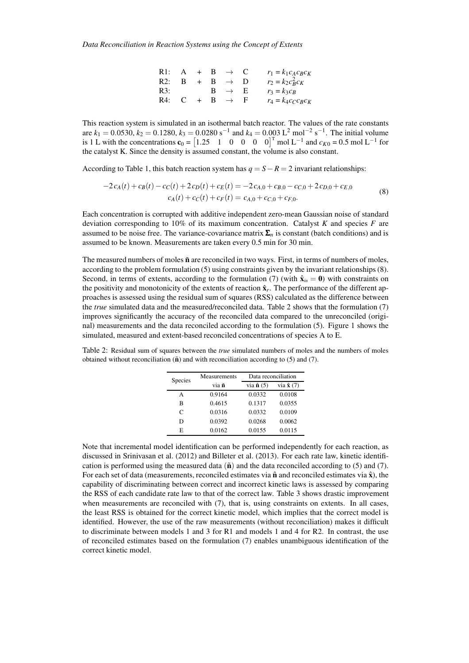| R1: | $\overline{A}$ | $+$ B |                | $\rightarrow$   | - C | $r_1 = k_1 c_A c_B c_K$ |
|-----|----------------|-------|----------------|-----------------|-----|-------------------------|
| R2: | B              | $+$   | $\overline{B}$ | $\rightarrow$ 1 |     | $r_2 = k_2 c_R^2 c_K$   |
| R3: |                |       | B.             | $\rightarrow$ E |     | $r_3 = k_3 c_B$         |
| R4: | C              |       | В              | $\rightarrow$   |     | $r_4 = k_4 c_C c_B c_K$ |

This reaction system is simulated in an isothermal batch reactor. The values of the rate constants are  $k_1 = 0.0530$ ,  $k_2 = 0.1280$ ,  $k_3 = 0.0280$  s<sup>-1</sup> and  $k_4 = 0.003$  L<sup>2</sup> mol<sup>-2</sup> s<sup>-1</sup>. The initial volume is 1 L with the concentrations  $\mathbf{c}_0 = \begin{bmatrix} 1.25 & 1 & 0 & 0 & 0 & 0 \end{bmatrix}^T$  mol L<sup>-1</sup> and  $c_{K0} = 0.5$  mol L<sup>-1</sup> for the catalyst K. Since the density is assumed constant, the volume is also constant.

According to Table 1, this batch reaction system has  $q = S - R = 2$  invariant relationships:

$$
-2c_A(t) + c_B(t) - c_C(t) + 2c_D(t) + c_E(t) = -2c_{A,0} + c_{B,0} - c_{C,0} + 2c_{D,0} + c_{E,0}
$$
  
\n
$$
c_A(t) + c_C(t) + c_F(t) = c_{A,0} + c_{C,0} + c_{F,0}.
$$
\n(8)

Each concentration is corrupted with additive independent zero-mean Gaussian noise of standard deviation corresponding to 10% of its maximum concentration. Catalyst *K* and species *F* are assumed to be noise free. The variance-covariance matrix  $\Sigma_n$  is constant (batch conditions) and is assumed to be known. Measurements are taken every 0.5 min for 30 min.

The measured numbers of moles  $\tilde{\mathbf{n}}$  are reconciled in two ways. First, in terms of numbers of moles, according to the problem formulation (5) using constraints given by the invariant relationships (8). Second, in terms of extents, according to the formulation (7) (with  $\hat{\mathbf{x}}_m = \mathbf{0}$ ) with constraints on the positivity and monotonicity of the extents of reaction  $\hat{\mathbf{x}}_r$ . The performance of the different approaches is assessed using the residual sum of squares (RSS) calculated as the difference between the *true* simulated data and the measured/reconciled data. Table 2 shows that the formulation (7) improves significantly the accuracy of the reconciled data compared to the unreconciled (original) measurements and the data reconciled according to the formulation (5). Figure 1 shows the simulated, measured and extent-based reconciled concentrations of species A to E.

Table 2: Residual sum of squares between the *true* simulated numbers of moles and the numbers of moles obtained without reconciliation  $(\tilde{\mathbf{n}})$  and with reconciliation according to (5) and (7).

| Species | Measurements | Data reconciliation        |                           |  |
|---------|--------------|----------------------------|---------------------------|--|
|         | via ñ        | via $\hat{\mathbf{n}}$ (5) | via $\hat{\mathbf{x}}(7)$ |  |
| A       | 0.9164       | 0.0332                     | 0.0108                    |  |
| в       | 0.4615       | 0.1317                     | 0.0355                    |  |
| C       | 0.0316       | 0.0332                     | 0.0109                    |  |
| D       | 0.0392       | 0.0268                     | 0.0062                    |  |
| E       | 0.0162       | 0.0155                     | 0.0115                    |  |

Note that incremental model identification can be performed independently for each reaction, as discussed in Srinivasan et al. (2012) and Billeter et al. (2013). For each rate law, kinetic identification is performed using the measured data  $(\hat{\bf{n}})$  and the data reconciled according to (5) and (7). For each set of data (measurements, reconciled estimates via  $\hat{\bf n}$  and reconciled estimates via  $\hat{\bf x}$ ), the capability of discriminating between correct and incorrect kinetic laws is assessed by comparing the RSS of each candidate rate law to that of the correct law. Table 3 shows drastic improvement when measurements are reconciled with  $(7)$ , that is, using constraints on extents. In all cases, the least RSS is obtained for the correct kinetic model, which implies that the correct model is identified. However, the use of the raw measurements (without reconciliation) makes it difficult to discriminate between models 1 and 3 for R1 and models 1 and 4 for R2. In contrast, the use of reconciled estimates based on the formulation (7) enables unambiguous identification of the correct kinetic model.